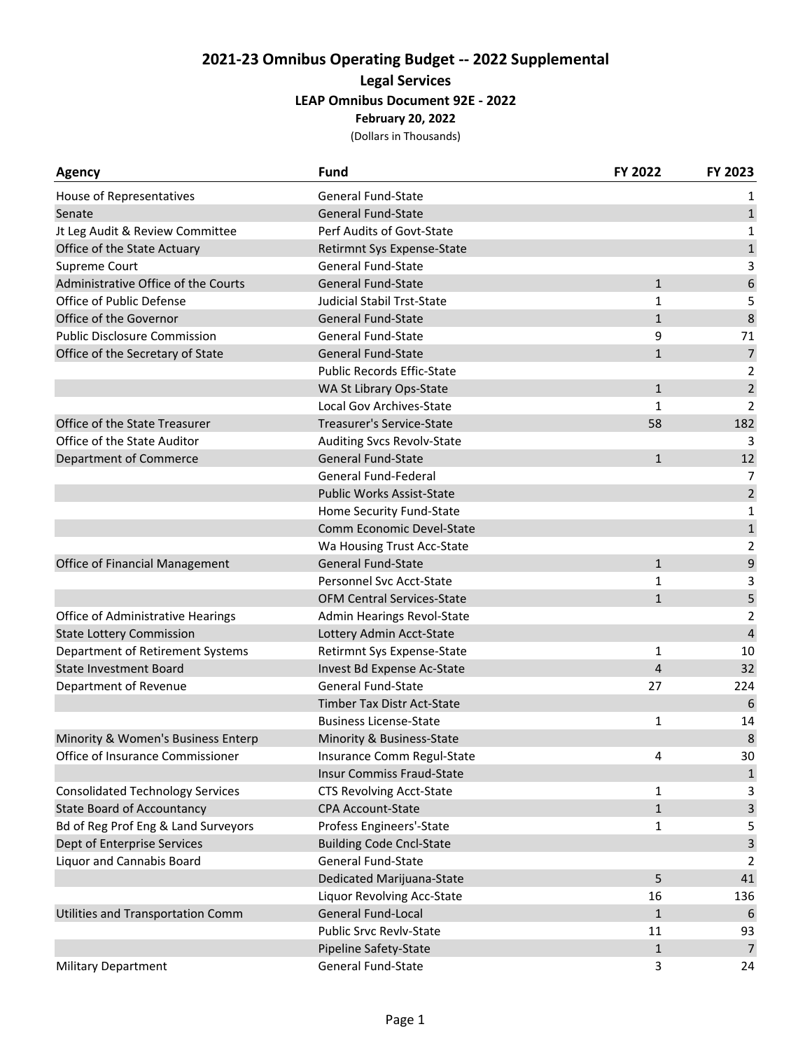## **2021‐23 Omnibus Operating Budget ‐‐ 2022 Supplemental Legal Services LEAP Omnibus Document 92E ‐ 2022 February 20, 2022**

(Dollars in Thousands)

| <b>Agency</b>                           | <b>Fund</b>                       | FY 2022      | FY 2023                 |
|-----------------------------------------|-----------------------------------|--------------|-------------------------|
| House of Representatives                | <b>General Fund-State</b>         |              | 1                       |
| Senate                                  | <b>General Fund-State</b>         |              | $\mathbf 1$             |
| Jt Leg Audit & Review Committee         | Perf Audits of Govt-State         |              | 1                       |
| Office of the State Actuary             | Retirmnt Sys Expense-State        |              |                         |
| Supreme Court                           | <b>General Fund-State</b>         |              | 3                       |
| Administrative Office of the Courts     | <b>General Fund-State</b>         | $\mathbf{1}$ | 6                       |
| Office of Public Defense                | <b>Judicial Stabil Trst-State</b> | 1            | 5                       |
| Office of the Governor                  | <b>General Fund-State</b>         | $\mathbf{1}$ | $\,8\,$                 |
| <b>Public Disclosure Commission</b>     | <b>General Fund-State</b>         | 9            | 71                      |
| Office of the Secretary of State        | <b>General Fund-State</b>         | $\mathbf{1}$ | $\boldsymbol{7}$        |
|                                         | <b>Public Records Effic-State</b> |              | 2                       |
|                                         | WA St Library Ops-State           | $\mathbf{1}$ | $\overline{2}$          |
|                                         | Local Gov Archives-State          | 1            | $\overline{2}$          |
| Office of the State Treasurer           | Treasurer's Service-State         | 58           | 182                     |
| Office of the State Auditor             | <b>Auditing Svcs Revolv-State</b> |              | 3                       |
| Department of Commerce                  | <b>General Fund-State</b>         | $\mathbf{1}$ | 12                      |
|                                         | General Fund-Federal              |              | $\overline{7}$          |
|                                         | <b>Public Works Assist-State</b>  |              | $\overline{2}$          |
|                                         | Home Security Fund-State          |              | 1                       |
|                                         | Comm Economic Devel-State         |              | $\mathbf 1$             |
|                                         | Wa Housing Trust Acc-State        |              | 2                       |
| Office of Financial Management          | <b>General Fund-State</b>         | $\mathbf{1}$ | $\mathsf g$             |
|                                         | Personnel Svc Acct-State          | 1            | 3                       |
|                                         | <b>OFM Central Services-State</b> | $\mathbf{1}$ | 5                       |
| Office of Administrative Hearings       | Admin Hearings Revol-State        |              |                         |
| <b>State Lottery Commission</b>         | Lottery Admin Acct-State          |              | $\overline{\mathbf{4}}$ |
| Department of Retirement Systems        | Retirmnt Sys Expense-State<br>1   |              | 10                      |
| <b>State Investment Board</b>           | Invest Bd Expense Ac-State        | 4            |                         |
| Department of Revenue                   | General Fund-State                | 27           | 224                     |
|                                         | Timber Tax Distr Act-State        |              | 6                       |
|                                         | <b>Business License-State</b>     | 1            | 14                      |
| Minority & Women's Business Enterp      | Minority & Business-State         |              | $\,8\,$                 |
| Office of Insurance Commissioner        | Insurance Comm Regul-State        | 4            | 30                      |
|                                         | Insur Commiss Fraud-State         |              | $\mathbf{1}$            |
| <b>Consolidated Technology Services</b> | <b>CTS Revolving Acct-State</b>   | 1            | 3                       |
| <b>State Board of Accountancy</b>       | CPA Account-State                 | $\mathbf{1}$ | $\mathsf{3}$            |
| Bd of Reg Prof Eng & Land Surveyors     | Profess Engineers'-State          | 1            | 5                       |
| Dept of Enterprise Services             | <b>Building Code Cncl-State</b>   |              | 3                       |
| Liquor and Cannabis Board               | General Fund-State                |              | 2                       |
|                                         | <b>Dedicated Marijuana-State</b>  | 5            | 41                      |
|                                         | Liquor Revolving Acc-State        | 16           | 136                     |
| Utilities and Transportation Comm       | General Fund-Local                | $\mathbf{1}$ | 6                       |
|                                         | <b>Public Srvc Revlv-State</b>    | 11           | 93                      |
|                                         | Pipeline Safety-State             | $\mathbf{1}$ | $\overline{7}$          |
| <b>Military Department</b>              | General Fund-State                | 3            | 24                      |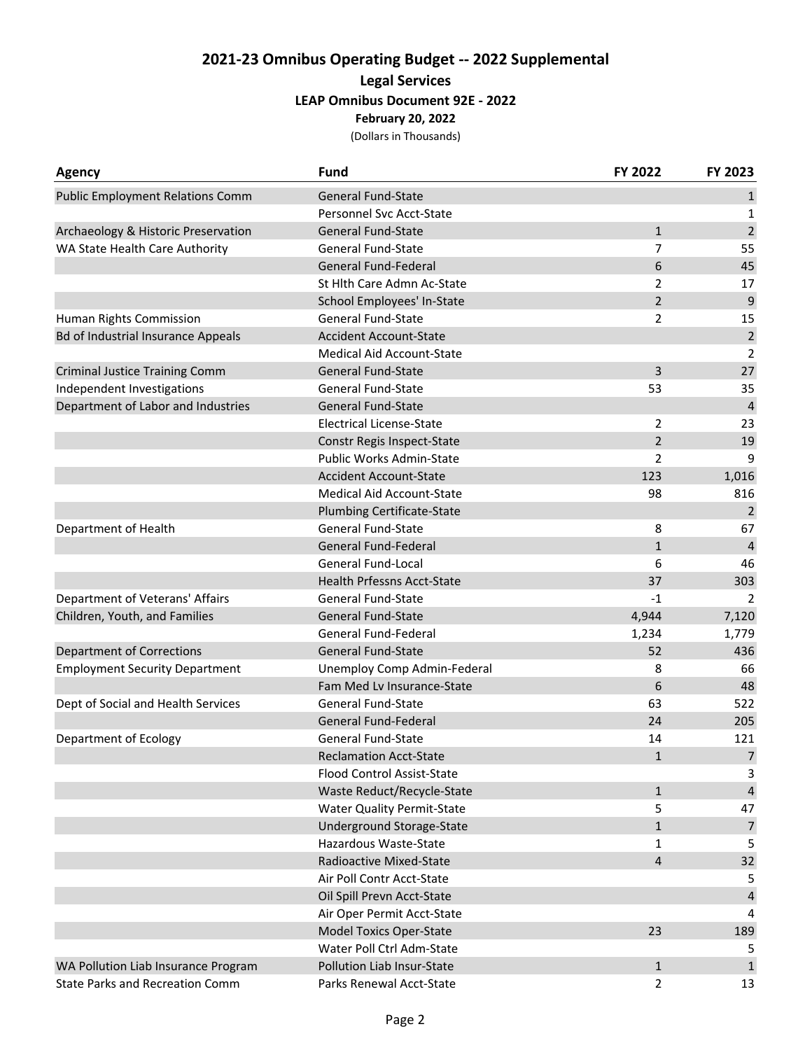## **2021‐23 Omnibus Operating Budget ‐‐ 2022 Supplemental Legal Services LEAP Omnibus Document 92E ‐ 2022 February 20, 2022**

(Dollars in Thousands)

| <b>Agency</b>                             | <b>Fund</b>                                                 | FY 2022        | FY 2023          |
|-------------------------------------------|-------------------------------------------------------------|----------------|------------------|
| <b>Public Employment Relations Comm</b>   | <b>General Fund-State</b>                                   |                | $\mathbf{1}$     |
|                                           | Personnel Svc Acct-State                                    |                | 1                |
| Archaeology & Historic Preservation       | <b>General Fund-State</b>                                   | $\mathbf{1}$   | $\overline{2}$   |
| WA State Health Care Authority            | <b>General Fund-State</b>                                   | 7              | 55               |
|                                           | <b>General Fund-Federal</b>                                 | 6              | 45               |
|                                           | St Hlth Care Admn Ac-State                                  | $\overline{2}$ | 17               |
|                                           | School Employees' In-State                                  | $\overline{2}$ | 9                |
| Human Rights Commission                   | General Fund-State                                          | 2              |                  |
| <b>Bd of Industrial Insurance Appeals</b> | <b>Accident Account-State</b>                               |                | $\mathbf 2$      |
|                                           | <b>Medical Aid Account-State</b>                            |                | 2                |
| <b>Criminal Justice Training Comm</b>     | <b>General Fund-State</b>                                   | 3              |                  |
| Independent Investigations                | <b>General Fund-State</b>                                   | 53             | 35               |
| Department of Labor and Industries        | <b>General Fund-State</b>                                   |                | $\overline{4}$   |
|                                           | <b>Electrical License-State</b>                             | 2              | 23               |
|                                           | Constr Regis Inspect-State                                  | $\overline{2}$ | 19               |
|                                           | Public Works Admin-State                                    | $\overline{2}$ | 9                |
|                                           | <b>Accident Account-State</b>                               | 123            | 1,016            |
|                                           | Medical Aid Account-State                                   | 98             | 816              |
|                                           | <b>Plumbing Certificate-State</b>                           |                | $\overline{2}$   |
| Department of Health                      | <b>General Fund-State</b>                                   | 8              | 67               |
|                                           | <b>General Fund-Federal</b>                                 | $\mathbf{1}$   | 4                |
|                                           | <b>General Fund-Local</b>                                   | 6              | 46               |
|                                           | <b>Health Prfessns Acct-State</b>                           | 37             | 303              |
| Department of Veterans' Affairs           | <b>General Fund-State</b>                                   | $-1$           | 2                |
| Children, Youth, and Families             | <b>General Fund-State</b>                                   | 4,944          | 7,120            |
|                                           | <b>General Fund-Federal</b>                                 | 1,234          | 1,779<br>436     |
| <b>Department of Corrections</b>          | <b>General Fund-State</b>                                   | 52             |                  |
| <b>Employment Security Department</b>     | Unemploy Comp Admin-Federal                                 | 8              | 66               |
|                                           | Fam Med Lv Insurance-State                                  | 6              | 48               |
| Dept of Social and Health Services        | <b>General Fund-State</b>                                   | 63             | 522              |
|                                           | <b>General Fund-Federal</b>                                 | 24             | 205              |
| Department of Ecology                     | <b>General Fund-State</b>                                   | 14             | 121              |
|                                           | <b>Reclamation Acct-State</b>                               | $\mathbf{1}$   | $\overline{7}$   |
|                                           | <b>Flood Control Assist-State</b>                           |                | 3                |
|                                           | Waste Reduct/Recycle-State                                  | $\mathbf{1}$   | $\overline{4}$   |
|                                           | <b>Water Quality Permit-State</b>                           | 5              | 47               |
|                                           | <b>Underground Storage-State</b>                            | $\mathbf{1}$   | $\boldsymbol{7}$ |
|                                           | Hazardous Waste-State                                       | 1              | 5                |
|                                           | Radioactive Mixed-State                                     | 4              | 32               |
|                                           | Air Poll Contr Acct-State                                   |                | 5                |
|                                           | Oil Spill Prevn Acct-State                                  |                | 4                |
|                                           | Air Oper Permit Acct-State                                  |                | 4                |
|                                           | <b>Model Toxics Oper-State</b><br>Water Poll Ctrl Adm-State | 23             | 189              |
|                                           |                                                             |                | 5                |
| WA Pollution Liab Insurance Program       | Pollution Liab Insur-State                                  | $\mathbf{1}$   | $\mathbf{1}$     |
| <b>State Parks and Recreation Comm</b>    | Parks Renewal Acct-State                                    | $\overline{2}$ | 13               |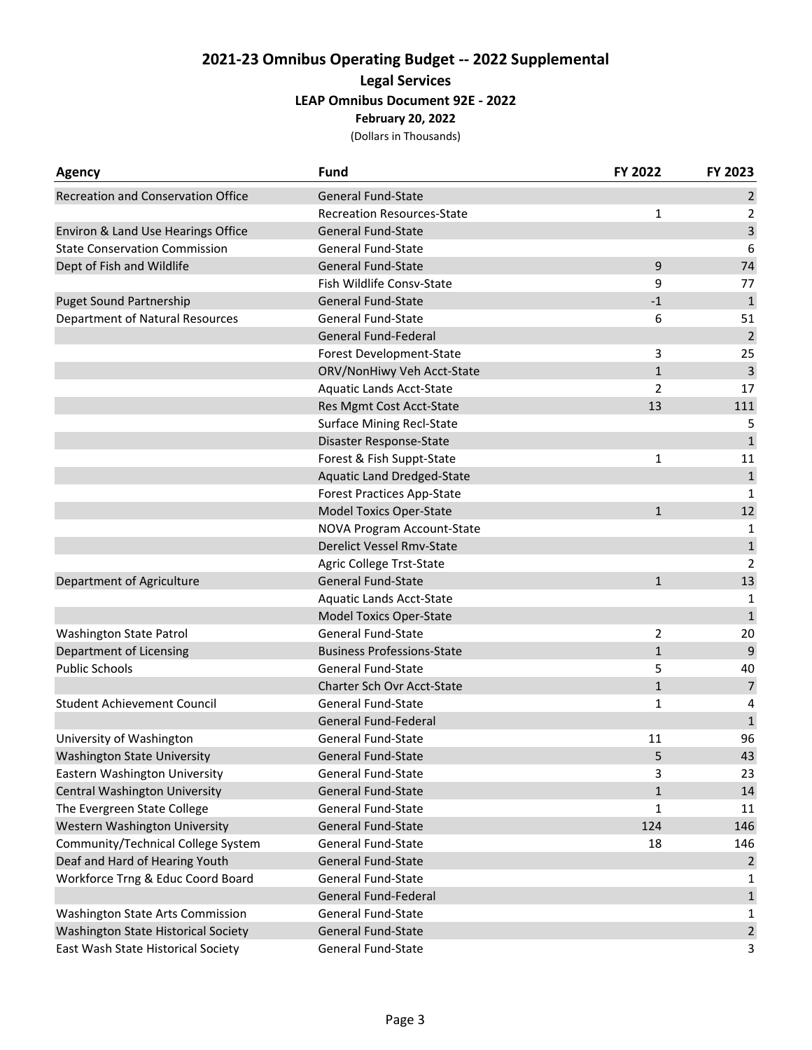## **2021‐23 Omnibus Operating Budget ‐‐ 2022 Supplemental Legal Services LEAP Omnibus Document 92E ‐ 2022 February 20, 2022**

(Dollars in Thousands)

| <b>Agency</b>                             | <b>Fund</b>                       | FY 2022        | FY 2023        |
|-------------------------------------------|-----------------------------------|----------------|----------------|
| <b>Recreation and Conservation Office</b> | <b>General Fund-State</b>         |                | $\overline{2}$ |
|                                           | <b>Recreation Resources-State</b> | 1              | 2              |
| Environ & Land Use Hearings Office        | <b>General Fund-State</b>         |                | $\mathsf{3}$   |
| <b>State Conservation Commission</b>      | <b>General Fund-State</b>         |                | 6              |
| Dept of Fish and Wildlife                 | <b>General Fund-State</b>         | 9              | 74             |
|                                           | Fish Wildlife Consv-State         | 9              | 77             |
| <b>Puget Sound Partnership</b>            | <b>General Fund-State</b>         | $-1$           | $\mathbf 1$    |
| <b>Department of Natural Resources</b>    | <b>General Fund-State</b>         | 6              | 51             |
|                                           | <b>General Fund-Federal</b>       |                | $\overline{2}$ |
|                                           | Forest Development-State          | 3              | 25             |
|                                           | ORV/NonHiwy Veh Acct-State        | $\mathbf{1}$   | $\mathsf{3}$   |
|                                           | Aquatic Lands Acct-State          | $\overline{2}$ | 17             |
|                                           | Res Mgmt Cost Acct-State          | 13             | 111            |
|                                           | <b>Surface Mining Recl-State</b>  |                | 5              |
|                                           | Disaster Response-State           |                | $\mathbf{1}$   |
|                                           | Forest & Fish Suppt-State         | 1              | 11             |
|                                           | <b>Aquatic Land Dredged-State</b> |                | $\mathbf{1}$   |
|                                           | <b>Forest Practices App-State</b> |                | 1              |
|                                           | <b>Model Toxics Oper-State</b>    | $\mathbf{1}$   | 12             |
|                                           | NOVA Program Account-State        |                | 1              |
|                                           | Derelict Vessel Rmv-State         |                | $\mathbf 1$    |
|                                           | Agric College Trst-State          |                | $\overline{2}$ |
| Department of Agriculture                 | <b>General Fund-State</b>         | $\mathbf{1}$   | 13             |
|                                           | Aquatic Lands Acct-State          |                | 1              |
|                                           | <b>Model Toxics Oper-State</b>    |                | $\mathbf{1}$   |
| Washington State Patrol                   | <b>General Fund-State</b>         | 2              | 20             |
| Department of Licensing                   | <b>Business Professions-State</b> | $\mathbf{1}$   |                |
| <b>Public Schools</b>                     | <b>General Fund-State</b>         | 5              | 40             |
|                                           | Charter Sch Ovr Acct-State        | $\mathbf{1}$   | $\overline{7}$ |
| <b>Student Achievement Council</b>        | General Fund-State                | 1              | 4              |
|                                           | <b>General Fund-Federal</b>       |                | $\mathbf 1$    |
| University of Washington                  | General Fund-State                | 11             | 96             |
| <b>Washington State University</b>        | General Fund-State                | 5              | 43             |
| Eastern Washington University             | General Fund-State                | 3              | 23             |
| Central Washington University             | <b>General Fund-State</b>         | 1              | 14             |
| The Evergreen State College               | <b>General Fund-State</b>         | 1              | 11             |
| Western Washington University             | General Fund-State                | 124            | 146            |
| Community/Technical College System        | <b>General Fund-State</b>         | 18             | 146            |
| Deaf and Hard of Hearing Youth            | General Fund-State                |                | 2              |
| Workforce Trng & Educ Coord Board         | General Fund-State                |                | 1              |
|                                           | <b>General Fund-Federal</b>       |                | $\mathbf 1$    |
| Washington State Arts Commission          | <b>General Fund-State</b>         |                | 1              |
| Washington State Historical Society       | <b>General Fund-State</b>         |                | $\overline{2}$ |
| East Wash State Historical Society        | General Fund-State                |                | 3              |